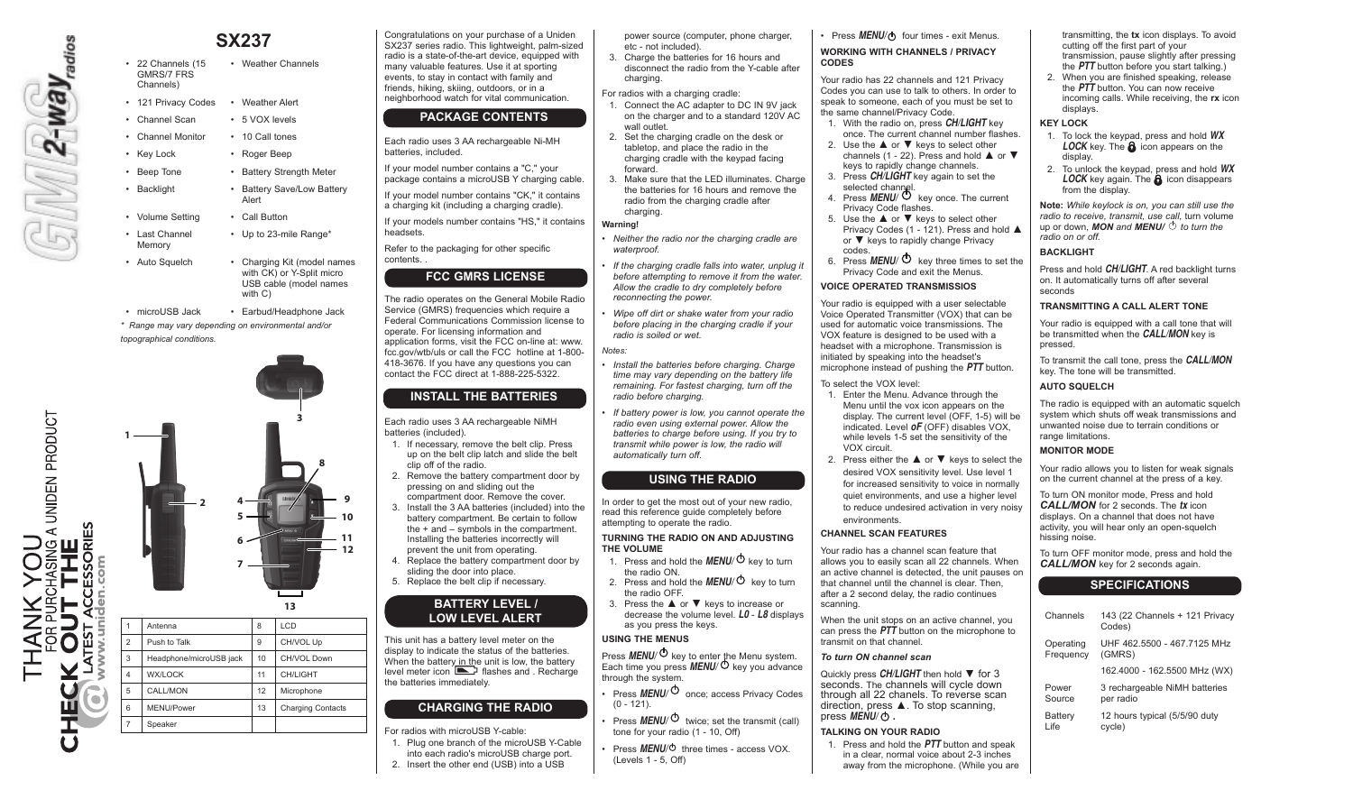# $\frac{1}{\sqrt{2}}$  . Way  $\frac{1}{\sqrt{2}}$

• 22 Channels (15) GMRS/7 FRS Channels) • Weather Channels • 121 Privacy Codes • Weather Alert • Channel Scan • 5 VOX levels

**SX237**

- Channel Monitor 10 Call tones
- Key Lock Roger Beep
- Beep Tone Battery Strength Meter
- Backlight Battery Save/Low Battery Alert
- Volume Setting Call Button
- • Last Channel Memory • Up to 23-mile Range\*
- Auto Squelch Charging Kit (model names

• microUSB Jack • Earbud/Headphone Jack *\* Range may vary depending on environmental and/or* 

with C)

with CK) or Y-Split micro USB cable (model names

**3**

*topographical conditions.*



Congratulations on your purchase of a Uniden SX237 series radio. This lightweight, palm-sized radio is a state-of-the-art device, equipped with many valuable features. Use it at sporting events, to stay in contact with family and friends, hiking, skiing, outdoors, or in a neighborhood watch for vital communication. **PACKAGE CONTENTS**

- Each radio uses 3 AA rechargeable Ni-MH batteries, included.
- If your model number contains a "C," your package contains a microUSB Y charging cable.

headsets.

contents. *.*

If your model number contains "CK," it contains a charging kit (including a charging cradle).

The radio operates on the General Mobile Radio Service (GMRS) frequencies which require a Federal Communications Commission license to operate. For licensing information and application forms, visit the FCC on-line at: www. fcc.gov/wtb/uls or call the FCC hotline at 1-800- 418-3676. If you have any questions you can contact the FCC direct at 1-888-225-5322.

**FCC GMRS LICENSE**

### If your models number contains "HS," it contains

Refer to the packaging for other specific *• Neither the radio nor the charging cradle are waterproof.* 

> *If the charging cradle falls into water, unplug it before attempting to remove it from the water. Allow the cradle to dry completely before reconnecting the power.*

power source (computer, phone charger,

3. Charge the batteries for 16 hours and disconnect the radio from the Y-cable after

1. Connect the AC adapter to DC IN 9V jack on the charger and to a standard 120V AC

3. Make sure that the LED illuminates. Charge the batteries for 16 hours and remove the radio from the charging cradle after

2. Set the charging cradle on the desk or tabletop, and place the radio in the charging cradle with the keypad facing

etc - not included).

For radios with a charging cradle:

charging

wall outlet.

forward.

charging. **Warning!**

- *• Wipe off dirt or shake water from your radio before placing in the charging cradle if your radio is soiled or wet.*
- *Notes:*
- *• Install the batteries before charging. Charge time may vary depending on the battery life remaining. For fastest charging, turn off the radio before charging.*
- *<i>If battery power is low, you cannot operate the radio even using external power. Allow the batteries to charge before using. If you try to transmit while power is low, the radio will automatically turn off.*

### **USING THE RADIO**

In order to get the most out of your new radio, read this reference guide completely before attempting to operate the radio.

### **TURNING THE RADIO ON AND ADJUSTING THE VOLUME**

- 1. Press and hold the **MENU**/ $\Phi$  key to turn the radio ON.
- 2. Press and hold the  $MENU/\mathcal{O}$  key to turn the radio OFF.
- 3. Press the ▲ or ▼ keys to increase or decrease the volume level. *L0* - *L8* displays as you press the keys.

### **USING THE MENUS**

Press **MENU**/<sup> $\cup$ </sup> key to enter the Menu system. Each time you press *MENU/* key you advance through the system.

- • Press *MENU/* once; access Privacy Codes  $(0 - 121)$ .
- **Press** *MENU*  $\phi$  twice; set the transmit (call) tone for your radio (1 - 10, Off)
- Press **MENU**/ $\circ$  three times access VOX. (Levels 1 - 5, Off)

• Press **MENU/** $\Phi$  four times - exit Menus.

### **WORKING WITH CHANNELS / PRIVACY CODES**

Your radio has 22 channels and 121 Privacy Codes you can use to talk to others. In order to speak to someone, each of you must be set to the same channel/Privacy Code.

- 1. With the radio on, press *CH/LIGHT* key once. The current channel number flashes.
- 2. Use the **▲ or ▼** keys to select other channels (1 - 22). Press and hold  $\triangle$  or  $\nabla$ keys to rapidly change channels.
- 3. Press *CH/LIGHT* key again to set the selected channel. 4. Press *MENU/* key once. The current
- Privacy Code flashes.
- 5. Use the ▲ or ▼ keys to select other Privacy Codes (1 - 121). Press and hold ▲ or ▼ keys to rapidly change Privacy codes.
- 6. Press *MENU/* key three times to set the Privacy Code and exit the Menus.

### **VOICE OPERATED TRANSMISSIOS**

Your radio is equipped with a user selectable Voice Operated Transmitter (VOX) that can be used for automatic voice transmissions. The VOX feature is designed to be used with a headset with a microphone. Transmission is initiated by speaking into the headset's microphone instead of pushing the *PTT* button.

- To select the VOX level:
- 1 Enter the Menu. Advance through the Menu until the vox icon appears on the display. The current level  $O$  OFF, 1-5) will be indicated. Level *oF* (OFF) disables VOX, while levels 1-5 set the sensitivity of the VOX circuit.
- 2. Press either the **▲ or ▼** keys to select the desired VOX sensitivity level. Use level 1 for increased sensitivity to voice in normally quiet environments, and use a higher level to reduce undesired activation in very noisy environments.

### **CHANNEL SCAN FEATURES**

Your radio has a channel scan feature that allows you to easily scan all 22 channels. When an active channel is detected, the unit pauses on that channel until the channel is clear. Then, after a 2 second delay, the radio continues scanning.

When the unit stops on an active channel, you can press the *PTT* button on the microphone to transmit on that channel.

### *To turn ON channel scan*

Quickly press *CH/LIGHT* then hold ▼ for 3 seconds. The channels will cycle down through all 22 chanels. To reverse scan direction, press ▲. To stop scanning, press *MENU/ .*

### **TALKING ON YOUR RADIO**

1. Press and hold the *PTT* button and speak in a clear, normal voice about 2-3 inches away from the microphone. (While you are transmitting, the **tx** icon displays. To avoid cutting off the first part of your transmission, pause slightly after pressing the *PTT* button before you start talking.)

2. When you are finished speaking, release the *PTT* button. You can now receive incoming calls. While receiving, the **rx** icon displays.

### **KEY LOCK**

- 1. To lock the keypad, press and hold *WX LOCK* key. The **a** icon appears on the display.
- 2. To unlock the keypad, press and hold *WX LOCK* key again. The  $\theta$  icon disappears from the display.

**Note:** *While keylock is on, you can still use the radio to receive, transmit, use call,* turn volume up or down, *MON* and *MENU/*  $\circ$  *to turn the radio on or off.*

### **BACKLIGHT**

Press and hold *CH/LIGHT*. A red backlight turns on. It automatically turns off after several seconds

### **TRANSMITTING A CALL ALERT TONE**

Your radio is equipped with a call tone that will be transmitted when the *CALL/MON* key is pressed.

To transmit the call tone, press the *CALL/MON*  key. The tone will be transmitted.

### **AUTO SQUELCH**

The radio is equipped with an automatic squelch system which shuts off weak transmissions and unwanted noise due to terrain conditions or range limitations.

### **MONITOR MODE**

Your radio allows you to listen for weak signals on the current channel at the press of a key.

To turn ON monitor mode, Press and hold *CALL/MON* for 2 seconds. The *tx* icon displays. On a channel that does not have activity, you will hear only an open-squelch hissing noise.

To turn OFF monitor mode, press and hold the *CALL/MON* key for 2 seconds again.

### **SPECIFICATIONS**

| Channels  | 143 (22 Channels + 121 Privacy<br>Codes) |
|-----------|------------------------------------------|
| Operating | UHF 462.5500 - 467.7125 MHz              |
| Frequency | (GMRS)                                   |
|           | 162.4000 - 162.5500 MHz (WX)             |
| Power     | 3 rechargeable NiMH batteries            |
| Source    | per radio                                |
| Battery   | 12 hours typical (5/5/90 duty            |
| Life      | cycle)                                   |

clip off of the radio. 2. Remove the battery compartment door by pressing on and sliding out the compartment door. Remove the cover. 3. Install the 3 AA batteries (included) into the battery compartment. Be certain to follow

1. If necessary, remove the belt clip. Press up on the belt clip latch and slide the belt

**INSTALL THE BATTERIES**

Each radio uses 3 AA rechargeable NiMH

batteries (included).

- the + and symbols in the compartment. Installing the batteries incorrectly will prevent the unit from operating.
- 4. Replace the battery compartment door by sliding the door into place. 5. Replace the belt clip if necessary.

# **BATTERY LEVEL /**

**LOW LEVEL ALERT**

This unit has a battery level meter on the display to indicate the status of the batteries. When the battery in the unit is low, the battery level meter icon **Figure 3** flashes and . Recharge the batteries immediately.

## **CHARGING THE RADIO**

For radios with microUSB Y-cable:

1. Plug one branch of the microUSB Y-Cable

into each radio's microUSB charge port. 2. Insert the other end (USB) into a USB

A UNIDEN PRODUCT ANK YOU<br>OR PURCHASING A UN<br>**DUT THE**<br>ST ACCESSORIES **OUT**<br>TEST ACCE ∑⊵

**8 9 10 11**

**12**